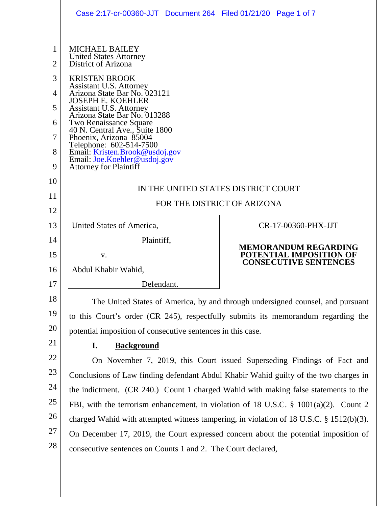|                                | Case 2:17-cr-00360-JJT Document 264 Filed 01/21/20 Page 1 of 7                                                                                                                 |                                                         |
|--------------------------------|--------------------------------------------------------------------------------------------------------------------------------------------------------------------------------|---------------------------------------------------------|
| $\mathbf{1}$<br>$\overline{2}$ | <b>MICHAEL BAILEY</b><br><b>United States Attorney</b><br><b>District of Arizona</b>                                                                                           |                                                         |
| 3                              | <b>KRISTEN BROOK</b>                                                                                                                                                           |                                                         |
| 4                              | Assistant U.S. Attorney<br>Arizona State Bar No. 023121                                                                                                                        |                                                         |
| 5                              | <b>JOSEPH E. KOEHLER</b><br>Assistant U.S. Attorney                                                                                                                            |                                                         |
| 6                              | Arizona State Bar No. 013288<br>Two Renaissance Square<br>40 N. Central Ave., Suite 1800                                                                                       |                                                         |
| 7                              | Phoenix, Arizona 85004<br>Telephone: 602-514-7500                                                                                                                              |                                                         |
| 8                              | Email: Kristen.Brook@usdoj.gov<br>Email: Joe.Koehler@usdoj.gov                                                                                                                 |                                                         |
| 9                              | <b>Attorney for Plaintiff</b>                                                                                                                                                  |                                                         |
| 10                             | IN THE UNITED STATES DISTRICT COURT                                                                                                                                            |                                                         |
| 11                             | FOR THE DISTRICT OF ARIZONA                                                                                                                                                    |                                                         |
| 12                             |                                                                                                                                                                                |                                                         |
| 13                             | United States of America,                                                                                                                                                      | CR-17-00360-PHX-JJT                                     |
| 14                             | Plaintiff,                                                                                                                                                                     | <b>MEMORANDUM REGARDING</b>                             |
| 15                             | V.                                                                                                                                                                             | POTENTIAL IMPOSITION OF<br><b>CONSECUTIVE SENTENCES</b> |
| 16<br>17                       | Abdul Khabir Wahid,                                                                                                                                                            |                                                         |
| 18                             | Defendant.                                                                                                                                                                     |                                                         |
| 19                             | The United States of America, by and through undersigned counsel, and pursuant                                                                                                 |                                                         |
| 20                             | to this Court's order (CR 245), respectfully submits its memorandum regarding the                                                                                              |                                                         |
| 21                             | potential imposition of consecutive sentences in this case.                                                                                                                    |                                                         |
| 22                             | <b>Background</b><br>I.                                                                                                                                                        |                                                         |
| 23                             | On November 7, 2019, this Court issued Superseding Findings of Fact and                                                                                                        |                                                         |
| 24                             | Conclusions of Law finding defendant Abdul Khabir Wahid guilty of the two charges in                                                                                           |                                                         |
| 25                             | the indictment. (CR 240.) Count 1 charged Wahid with making false statements to the                                                                                            |                                                         |
| 26                             | FBI, with the terrorism enhancement, in violation of 18 U.S.C. $\S$ 1001(a)(2). Count 2                                                                                        |                                                         |
| 27                             | charged Wahid with attempted witness tampering, in violation of 18 U.S.C. § 1512(b)(3).<br>On December 17, 2019, the Court expressed concern about the potential imposition of |                                                         |
| 28                             | consecutive sentences on Counts 1 and 2. The Court declared,                                                                                                                   |                                                         |
|                                |                                                                                                                                                                                |                                                         |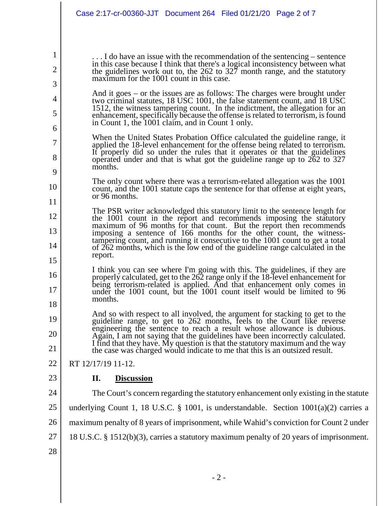. . . I do have an issue with the recommendation of the sentencing – sentence in this case because I think that there's a logical inconsistency between what the guidelines work out to, the 262 to 327 month range, and the statutory maximum for the 1001 count in this case.

- And it goes or the issues are as follows: The charges were brought under two criminal statutes, 18 USC 1001, the false statement count, and 18 USC 1512, the witness tampering count. In the indictment, the allegation for an enhancement, specifically because the offense is related to terrorism, is found enhancement, specifically because the offense is related to terrorism, is found in Count 1, the 1001 claim, and in Count 1 only.
- When the United States Probation Office calculated the guideline range, it applied the 18-level enhancement for the offense being related to terrorism.<br>It properly did so under the rules that it operates or that the guidel operated under and that is what got the guideline range up to 262 to 327 months.
- 10 11 The only count where there was a terrorism-related allegation was the 1001 count, and the 1001 statute caps the sentence for that offense at eight years, or 96 months.
- 12 13 14 15 The PSR writer acknowledged this statutory limit to the sentence length for the 1001 count in the report and recommends imposing the statutory maximum of 96 months for that count. But the report then recommends imposing a sentence of 166 months for the other count, the witnesstampering count, and running it consecutive to the 1001 count to get a total of 262 months, which is the low end of the guideline range calculated in the report.
- 16 17 18 I think you can see where I'm going with this. The guidelines, if they are properly calculated, get to the 262 range only if the 18-level enhancement for being terrorism-related is applied. And that enhancement only comes in under the 1001 count, but the 1001 count itself would be limited to 96 months.
- 19 20 21 And so with respect to all involved, the argument for stacking to get to the guideline range, to get to 262 months, feels to the Court like reverse engineering the sentence to reach a result whose allowance is dubious. Again, I am not saying that the guidelines have been incorrectly calculated. I find that they have. My question is that the statutory maximum and the way the case was charged would indicate to me that this is an outsized result.
- 22 RT 12/17/19 11-12.

1

2

3

4

5

6

7

8

9

**II. Discussion**

23

24 25 26 27 28 The Court's concern regarding the statutory enhancement only existing in the statute underlying Count 1, 18 U.S.C. § 1001, is understandable. Section  $1001(a)(2)$  carries a maximum penalty of 8 years of imprisonment, while Wahid's conviction for Count 2 under 18 U.S.C. § 1512(b)(3), carries a statutory maximum penalty of 20 years of imprisonment.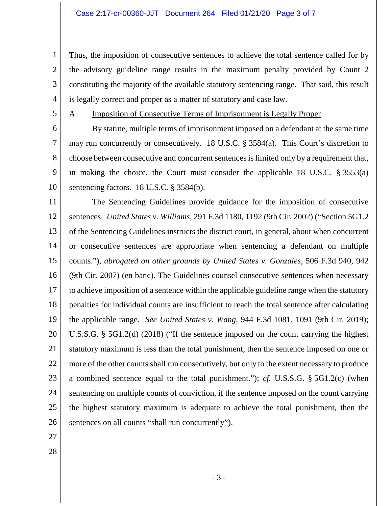Thus, the imposition of consecutive sentences to achieve the total sentence called for by the advisory guideline range results in the maximum penalty provided by Count 2 constituting the majority of the available statutory sentencing range. That said, this result is legally correct and proper as a matter of statutory and case law.

5

1

2

3

4

## A. Imposition of Consecutive Terms of Imprisonment is Legally Proper

6 7 8 9 10 By statute, multiple terms of imprisonment imposed on a defendant at the same time may run concurrently or consecutively. 18 U.S.C. § 3584(a). This Court's discretion to choose between consecutive and concurrent sentences is limited only by a requirement that, in making the choice, the Court must consider the applicable 18 U.S.C. § 3553(a) sentencing factors. 18 U.S.C. § 3584(b).

11 12 13 14 15 16 17 18 19 20 21 22 23 24 25 26 The Sentencing Guidelines provide guidance for the imposition of consecutive sentences. *United States v. Williams*, 291 F.3d 1180, 1192 (9th Cir. 2002) ("Section 5G1.2 of the Sentencing Guidelines instructs the district court, in general, about when concurrent or consecutive sentences are appropriate when sentencing a defendant on multiple counts."), *abrogated on other grounds by United States v. Gonzales*, 506 F.3d 940, 942 (9th Cir. 2007) (en banc). The Guidelines counsel consecutive sentences when necessary to achieve imposition of a sentence within the applicable guideline range when the statutory penalties for individual counts are insufficient to reach the total sentence after calculating the applicable range. *See United States v. Wang*, 944 F.3d 1081, 1091 (9th Cir. 2019); U.S.S.G. § 5G1.2(d) (2018) ("If the sentence imposed on the count carrying the highest statutory maximum is less than the total punishment, then the sentence imposed on one or more of the other counts shall run consecutively, but only to the extent necessary to produce a combined sentence equal to the total punishment."); *cf.* U.S.S.G. § 5G1.2(c) (when sentencing on multiple counts of conviction, if the sentence imposed on the count carrying the highest statutory maximum is adequate to achieve the total punishment, then the sentences on all counts "shall run concurrently").

- 27
- 28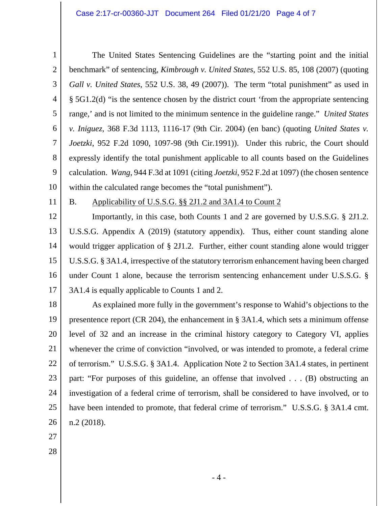1 2 3 4 5 6 7 8 9 10 The United States Sentencing Guidelines are the "starting point and the initial benchmark" of sentencing, *Kimbrough v. United States*, 552 U.S. 85, 108 (2007) (quoting *Gall v. United States*, 552 U.S. 38, 49 (2007)). The term "total punishment" as used in § 5G1.2(d) "is the sentence chosen by the district court 'from the appropriate sentencing range,' and is not limited to the minimum sentence in the guideline range." *United States v. Iniguez*, 368 F.3d 1113, 1116-17 (9th Cir. 2004) (en banc) (quoting *United States v. Joetzki*, 952 F.2d 1090, 1097-98 (9th Cir.1991)). Under this rubric, the Court should expressly identify the total punishment applicable to all counts based on the Guidelines calculation. *Wang*, 944 F.3d at 1091 (citing *Joetzki*, 952 F.2d at 1097) (the chosen sentence within the calculated range becomes the "total punishment").

11

## B. Applicability of U.S.S.G. §§ 2J1.2 and 3A1.4 to Count 2

12 13 14 15 16 17 Importantly, in this case, both Counts 1 and 2 are governed by U.S.S.G. § 2J1.2. U.S.S.G. Appendix A (2019) (statutory appendix). Thus, either count standing alone would trigger application of § 2J1.2. Further, either count standing alone would trigger U.S.S.G. § 3A1.4, irrespective of the statutory terrorism enhancement having been charged under Count 1 alone, because the terrorism sentencing enhancement under U.S.S.G. § 3A1.4 is equally applicable to Counts 1 and 2.

18 19 20 21 22 23 24 25 26 As explained more fully in the government's response to Wahid's objections to the presentence report (CR 204), the enhancement in § 3A1.4, which sets a minimum offense level of 32 and an increase in the criminal history category to Category VI, applies whenever the crime of conviction "involved, or was intended to promote, a federal crime of terrorism." U.S.S.G. § 3A1.4. Application Note 2 to Section 3A1.4 states, in pertinent part: "For purposes of this guideline, an offense that involved . . . (B) obstructing an investigation of a federal crime of terrorism, shall be considered to have involved, or to have been intended to promote, that federal crime of terrorism." U.S.S.G. § 3A1.4 cmt. n.2 (2018).

- 27
- 28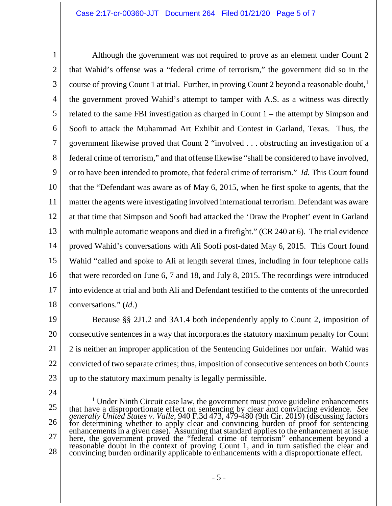1 2 3 4 5 6 7 8 9 10 11 12 13 14 15 16 17 18 Although the government was not required to prove as an element under Count 2 that Wahid's offense was a "federal crime of terrorism," the government did so in the course of proving Count [1](#page-4-0) at trial. Further, in proving Count 2 beyond a reasonable doubt,<sup>1</sup> the government proved Wahid's attempt to tamper with A.S. as a witness was directly related to the same FBI investigation as charged in Count 1 – the attempt by Simpson and Soofi to attack the Muhammad Art Exhibit and Contest in Garland, Texas. Thus, the government likewise proved that Count 2 "involved . . . obstructing an investigation of a federal crime of terrorism," and that offense likewise "shall be considered to have involved, or to have been intended to promote, that federal crime of terrorism." *Id.* This Court found that the "Defendant was aware as of May 6, 2015, when he first spoke to agents, that the matter the agents were investigating involved international terrorism. Defendant was aware at that time that Simpson and Soofi had attacked the 'Draw the Prophet' event in Garland with multiple automatic weapons and died in a firefight." (CR 240 at 6). The trial evidence proved Wahid's conversations with Ali Soofi post-dated May 6, 2015. This Court found Wahid "called and spoke to Ali at length several times, including in four telephone calls that were recorded on June 6, 7 and 18, and July 8, 2015. The recordings were introduced into evidence at trial and both Ali and Defendant testified to the contents of the unrecorded conversations." (*Id*.)

- 19 20 21 22 23 Because §§ 2J1.2 and 3A1.4 both independently apply to Count 2, imposition of consecutive sentences in a way that incorporates the statutory maximum penalty for Count 2 is neither an improper application of the Sentencing Guidelines nor unfair. Wahid was convicted of two separate crimes; thus, imposition of consecutive sentences on both Counts up to the statutory maximum penalty is legally permissible.
- 24

<span id="page-4-0"></span><sup>25</sup> 26 27 28 <sup>1</sup> Under Ninth Circuit case law, the government must prove guideline enhancements that have a disproportionate effect on sentencing by clear and convincing evidence. *See generally United States v. Valle*, 940 F.3d 473, 479-480 (9th Cir. 2019) (discussing factors for determining whether to apply clear and convincing burden of proof for sentencing<br>enhancements in a given case). Assuming that standard applies to the enhancement at issue<br>here, the government proved the "federal crime convincing burden ordinarily applicable to enhancements with a disproportionate effect.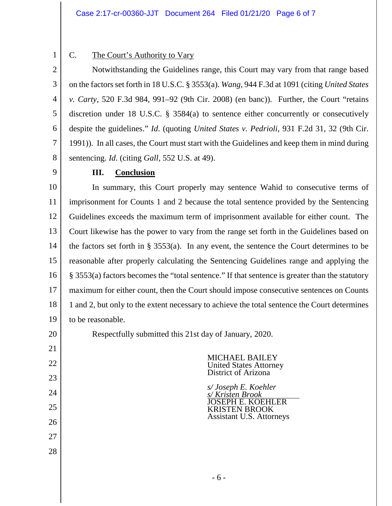1 2

## C. The Court's Authority to Vary

3 4 5 6 7 8 Notwithstanding the Guidelines range, this Court may vary from that range based on the factors set forth in 18 U.S.C. § 3553(a). *Wang*, 944 F.3d at 1091 (citing *United States v. Carty*, 520 F.3d 984, 991–92 (9th Cir. 2008) (en banc)). Further, the Court "retains discretion under 18 U.S.C. § 3584(a) to sentence either concurrently or consecutively despite the guidelines." *Id*. (quoting *United States v. Pedrioli*, 931 F.2d 31, 32 (9th Cir. 1991)). In all cases, the Court must start with the Guidelines and keep them in mind during sentencing. *Id*. (citing *Gall*, 552 U.S. at 49).

9

20

21

22

23

24

25

26

27

28

## **III. Conclusion**

10 11 12 13 14 15 16 17 18 19 In summary, this Court properly may sentence Wahid to consecutive terms of imprisonment for Counts 1 and 2 because the total sentence provided by the Sentencing Guidelines exceeds the maximum term of imprisonment available for either count. The Court likewise has the power to vary from the range set forth in the Guidelines based on the factors set forth in § 3553(a). In any event, the sentence the Court determines to be reasonable after properly calculating the Sentencing Guidelines range and applying the § 3553(a) factors becomes the "total sentence." If that sentence is greater than the statutory maximum for either count, then the Court should impose consecutive sentences on Counts 1 and 2, but only to the extent necessary to achieve the total sentence the Court determines to be reasonable.

Respectfully submitted this 21st day of January, 2020.

MICHAEL BAILEY United States Attorney District of Arizona

*s/ Joseph E. Koehler s/ Kristen Brook* JOSEPH E. KOEHLER KRISTEN BROOK Assistant U.S. Attorneys